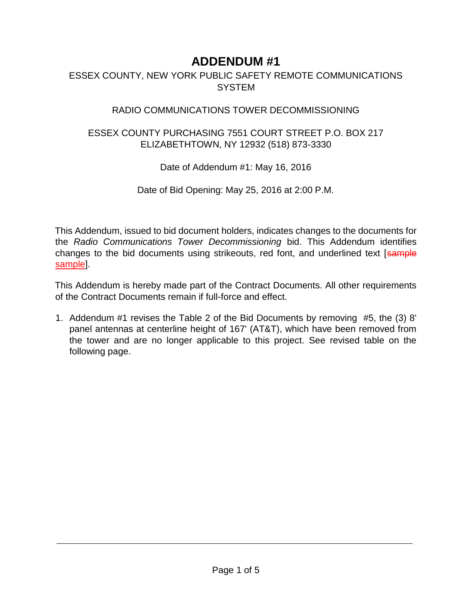## **ADDENDUM #1**

## ESSEX COUNTY, NEW YORK PUBLIC SAFETY REMOTE COMMUNICATIONS SYSTEM

## RADIO COMMUNICATIONS TOWER DECOMMISSIONING

## ESSEX COUNTY PURCHASING 7551 COURT STREET P.O. BOX 217 ELIZABETHTOWN, NY 12932 (518) 873-3330

Date of Addendum #1: May 16, 2016

Date of Bid Opening: May 25, 2016 at 2:00 P.M.

This Addendum, issued to bid document holders, indicates changes to the documents for the *Radio Communications Tower Decommissioning* bid. This Addendum identifies changes to the bid documents using strikeouts, red font, and underlined text [sample sample].

This Addendum is hereby made part of the Contract Documents. All other requirements of the Contract Documents remain if full-force and effect.

1. Addendum #1 revises the Table 2 of the Bid Documents by removing #5, the (3) 8' panel antennas at centerline height of 167' (AT&T), which have been removed from the tower and are no longer applicable to this project. See revised table on the following page.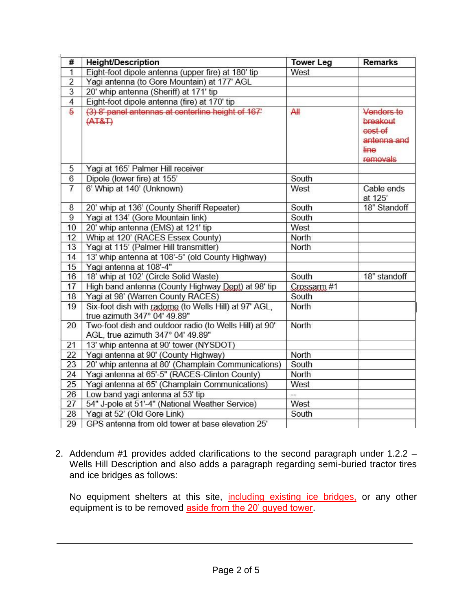| #              | <b>Height/Description</b>                                                                   | <b>Tower Leg</b> | <b>Remarks</b>                                                       |
|----------------|---------------------------------------------------------------------------------------------|------------------|----------------------------------------------------------------------|
| $\overline{1}$ | Eight-foot dipole antenna (upper fire) at 180' tip                                          | West             |                                                                      |
| $\overline{2}$ | Yagi antenna (to Gore Mountain) at 177' AGL                                                 |                  |                                                                      |
| $\overline{3}$ | 20' whip antenna (Sheriff) at 171' tip                                                      |                  |                                                                      |
| $\overline{4}$ | Eight-foot dipole antenna (fire) at 170' tip                                                |                  |                                                                      |
| 5              | (3) 8' panel antennas at centerline height of 167'<br>(AT&T)                                | All              | Vendors to<br>breakout<br>cost of<br>antenna and<br>line<br>removals |
| 5              | Yagi at 165' Palmer Hill receiver                                                           |                  |                                                                      |
| 6              | Dipole (lower fire) at 155'                                                                 | South            |                                                                      |
| $\overline{7}$ | 6' Whip at 140' (Unknown)                                                                   | West             | Cable ends<br>at 125'                                                |
| 8              | 20' whip at 136' (County Sheriff Repeater)                                                  | South            | 18" Standoff                                                         |
| 9              | Yagi at 134' (Gore Mountain link)                                                           | South            |                                                                      |
| 10             | 20' whip antenna (EMS) at 121' tip                                                          | West             |                                                                      |
| 12             | Whip at 120' (RACES Essex County)                                                           | North            |                                                                      |
| 13             | Yagi at 115' (Palmer Hill transmitter)                                                      | North            |                                                                      |
| 14             | 13' whip antenna at 108'-5" (old County Highway)                                            |                  |                                                                      |
| 15             | Yagi antenna at 108'-4"                                                                     |                  |                                                                      |
| 16             | 18' whip at 102' (Circle Solid Waste)                                                       | South            | 18" standoff                                                         |
| 17             | High band antenna (County Highway Dept) at 98' tip                                          | Crossarm #1      |                                                                      |
| 18             | Yagi at 98' (Warren County RACES)                                                           | South            |                                                                      |
| 19             | Six-foot dish with radome (to Wells Hill) at 97' AGL,<br>true azimuth 347° 04' 49.89"       | North            |                                                                      |
| 20             | Two-foot dish and outdoor radio (to Wells Hill) at 90'<br>AGL, true azimuth 347° 04' 49.89" | North            |                                                                      |
| 21             | 13' whip antenna at 90' tower (NYSDOT)                                                      |                  |                                                                      |
| 22             | Yagi antenna at 90' (County Highway)                                                        | North            |                                                                      |
| 23             | 20' whip antenna at 80' (Champlain Communications)                                          | South            |                                                                      |
| 24             | Yagi antenna at 65'-5" (RACES-Clinton County)                                               | North            |                                                                      |
| 25             | Yagi antenna at 65' (Champlain Communications)                                              | West             |                                                                      |
| 26             | Low band yagi antenna at 53' tip                                                            | ₩.,              |                                                                      |
| 27             | 54" J-pole at 51'-4" (National Weather Service)                                             | West             |                                                                      |
| 28             | Yagi at 52' (Old Gore Link)                                                                 | South            |                                                                      |
| 29             | GPS antenna from old tower at base elevation 25'                                            |                  |                                                                      |

2. Addendum #1 provides added clarifications to the second paragraph under 1.2.2 – Wells Hill Description and also adds a paragraph regarding semi-buried tractor tires and ice bridges as follows:

No equipment shelters at this site, including existing ice bridges, or any other equipment is to be removed aside from the 20' guyed tower.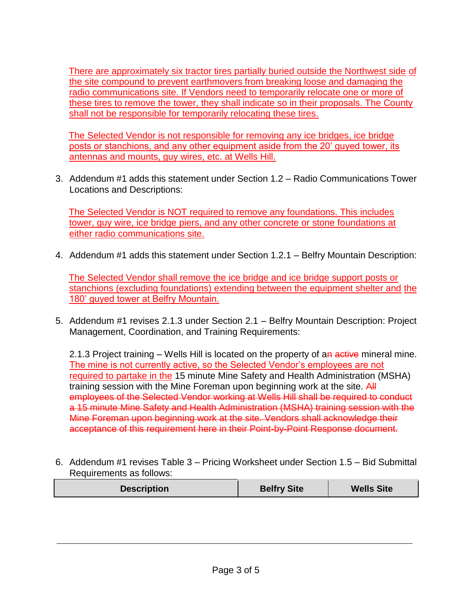There are approximately six tractor tires partially buried outside the Northwest side of the site compound to prevent earthmovers from breaking loose and damaging the radio communications site. If Vendors need to temporarily relocate one or more of these tires to remove the tower, they shall indicate so in their proposals. The County shall not be responsible for temporarily relocating these tires.

The Selected Vendor is not responsible for removing any ice bridges, ice bridge posts or stanchions, and any other equipment aside from the 20' guyed tower, its antennas and mounts, guy wires, etc. at Wells Hill.

3. Addendum #1 adds this statement under Section 1.2 – Radio Communications Tower Locations and Descriptions:

The Selected Vendor is NOT required to remove any foundations. This includes tower, guy wire, ice bridge piers, and any other concrete or stone foundations at either radio communications site.

4. Addendum #1 adds this statement under Section 1.2.1 – Belfry Mountain Description:

The Selected Vendor shall remove the ice bridge and ice bridge support posts or stanchions (excluding foundations) extending between the equipment shelter and the 180' guyed tower at Belfry Mountain.

5. Addendum #1 revises 2.1.3 under Section 2.1 – Belfry Mountain Description: Project Management, Coordination, and Training Requirements:

2.1.3 Project training – Wells Hill is located on the property of an active mineral mine. The mine is not currently active, so the Selected Vendor's employees are not required to partake in the 15 minute Mine Safety and Health Administration (MSHA) training session with the Mine Foreman upon beginning work at the site. All employees of the Selected Vendor working at Wells Hill shall be required to conduct a 15 minute Mine Safety and Health Administration (MSHA) training session with the Mine Foreman upon beginning work at the site. Vendors shall acknowledge their acceptance of this requirement here in their Point-by-Point Response document.

6. Addendum #1 revises Table 3 – Pricing Worksheet under Section 1.5 – Bid Submittal Requirements as follows:

| <b>Belfry Site</b><br><b>Description</b><br><b>Wells Site</b> |
|---------------------------------------------------------------|
|---------------------------------------------------------------|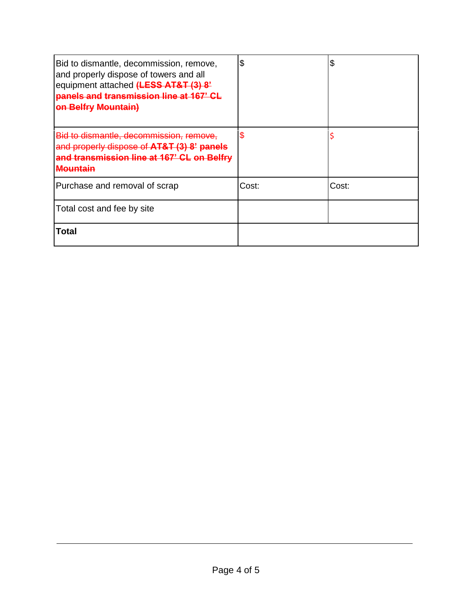| Bid to dismantle, decommission, remove,<br>and properly dispose of towers and all<br>equipment attached (LESS AT&T (3) 8'<br>panels and transmission line at 167' CL<br><b>on Belfry Mountain)</b> | \$    | \$    |
|----------------------------------------------------------------------------------------------------------------------------------------------------------------------------------------------------|-------|-------|
| Bid to dismantle, decommission, remove,<br>and properly dispose of AT&T (3) 8' panels<br>and transmission line at 167' CL on Belfry<br>Mountain                                                    | \$    |       |
| Purchase and removal of scrap                                                                                                                                                                      | Cost: | Cost: |
| Total cost and fee by site                                                                                                                                                                         |       |       |
| Total                                                                                                                                                                                              |       |       |